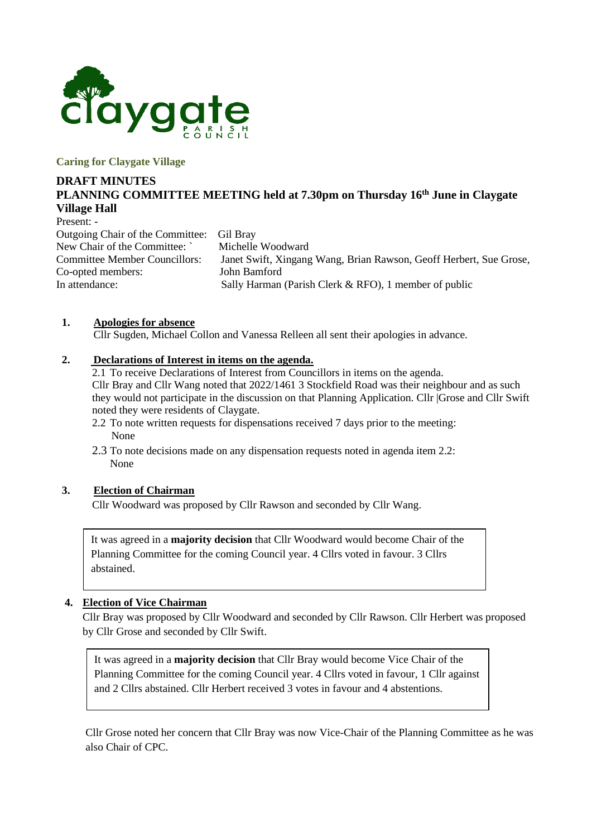

#### **Caring for Claygate Village**

# **DRAFT MINUTES PLANNING COMMITTEE MEETING held at 7.30pm on Thursday 16th June in Claygate Village Hall**

Present: -

Outgoing Chair of the Committee: Gil Bray New Chair of the Committee: Michelle Woodward Co-opted members: John Bamford

Committee Member Councillors: Janet Swift, Xingang Wang, Brian Rawson, Geoff Herbert, Sue Grose, In attendance: Sally Harman (Parish Clerk & RFO), 1 member of public

#### **1. Apologies for absence**

Cllr Sugden, Michael Collon and Vanessa Relleen all sent their apologies in advance.

### **2. Declarations of Interest in items on the agenda.**

2.1 To receive Declarations of Interest from Councillors in items on the agenda. Cllr Bray and Cllr Wang noted that 2022/1461 3 Stockfield Road was their neighbour and as such they would not participate in the discussion on that Planning Application. Cllr |Grose and Cllr Swift noted they were residents of Claygate.

- 2.2 To note written requests for dispensations received 7 days prior to the meeting: None
- 2.3 To note decisions made on any dispensation requests noted in agenda item 2.2: None

#### **3. Election of Chairman**

Cllr Woodward was proposed by Cllr Rawson and seconded by Cllr Wang.

It was agreed in a **majority decision** that Cllr Woodward would become Chair of the Planning Committee for the coming Council year. 4 Cllrs voted in favour. 3 Cllrs abstained.

### **4. Election of Vice Chairman**

Cllr Bray was proposed by Cllr Woodward and seconded by Cllr Rawson. Cllr Herbert was proposed by Cllr Grose and seconded by Cllr Swift.

It was agreed in a **majority decision** that Cllr Bray would become Vice Chair of the Planning Committee for the coming Council year. 4 Cllrs voted in favour, 1 Cllr against and 2 Cllrs abstained. Cllr Herbert received 3 votes in favour and 4 abstentions.

Cllr Grose noted her concern that Cllr Bray was now Vice-Chair of the Planning Committee as he was also Chair of CPC.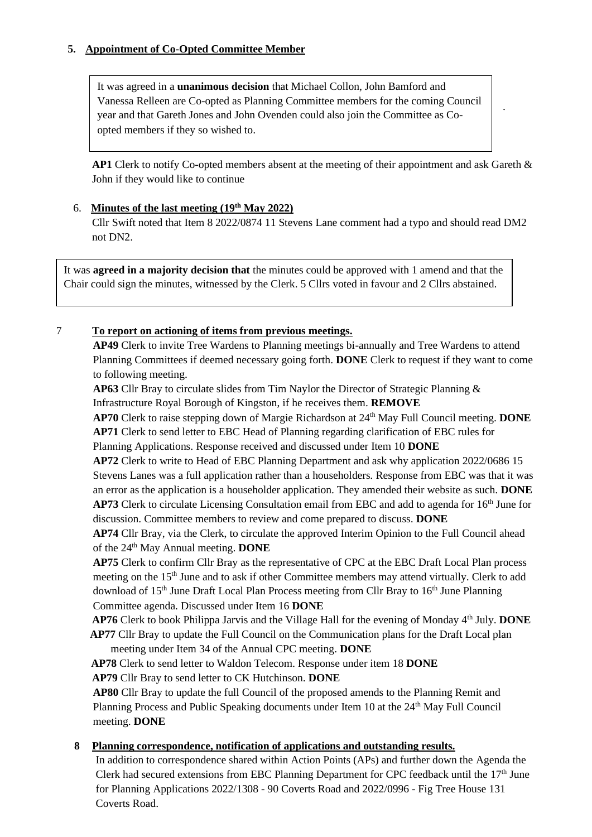## **5. Appointment of Co-Opted Committee Member**

It was agreed in a **unanimous decision** that Michael Collon, John Bamford and Vanessa Relleen are Co-opted as Planning Committee members for the coming Council year and that Gareth Jones and John Ovenden could also join the Committee as Coopted members if they so wished to.

**AP1** Clerk to notify Co-opted members absent at the meeting of their appointment and ask Gareth & John if they would like to continue

.

### 6. **Minutes of the last meeting (19th May 2022)**

Cllr Swift noted that Item 8 2022/0874 11 Stevens Lane comment had a typo and should read DM2 not DN2.

It was **agreed in a majority decision that** the minutes could be approved with 1 amend and that the Chair could sign the minutes, witnessed by the Clerk. 5 Cllrs voted in favour and 2 Cllrs abstained.

### 7 **To report on actioning of items from previous meetings.**

**AP49** Clerk to invite Tree Wardens to Planning meetings bi-annually and Tree Wardens to attend Planning Committees if deemed necessary going forth. **DONE** Clerk to request if they want to come to following meeting.

**AP63** Cllr Bray to circulate slides from Tim Naylor the Director of Strategic Planning & Infrastructure Royal Borough of Kingston, if he receives them. **REMOVE**

**AP70** Clerk to raise stepping down of Margie Richardson at 24th May Full Council meeting. **DONE AP71** Clerk to send letter to EBC Head of Planning regarding clarification of EBC rules for Planning Applications. Response received and discussed under Item 10 **DONE**

**AP72** Clerk to write to Head of EBC Planning Department and ask why application 2022/0686 15 Stevens Lanes was a full application rather than a householders. Response from EBC was that it was an error as the application is a householder application. They amended their website as such. **DONE AP73** Clerk to circulate Licensing Consultation email from EBC and add to agenda for 16<sup>th</sup> June for discussion. Committee members to review and come prepared to discuss. **DONE**

**AP74** Cllr Bray, via the Clerk, to circulate the approved Interim Opinion to the Full Council ahead of the 24<sup>th</sup> May Annual meeting. **DONE** 

**AP75** Clerk to confirm Cllr Bray as the representative of CPC at the EBC Draft Local Plan process meeting on the 15<sup>th</sup> June and to ask if other Committee members may attend virtually. Clerk to add download of 15<sup>th</sup> June Draft Local Plan Process meeting from Cllr Bray to 16<sup>th</sup> June Planning Committee agenda. Discussed under Item 16 **DONE**

**AP76** Clerk to book Philippa Jarvis and the Village Hall for the evening of Monday 4<sup>th</sup> July. **DONE AP77** Cllr Bray to update the Full Council on the Communication plans for the Draft Local plan

meeting under Item 34 of the Annual CPC meeting. **DONE**

**AP78** Clerk to send letter to Waldon Telecom. Response under item 18 **DONE**

**AP79** Cllr Bray to send letter to CK Hutchinson. **DONE**

**AP80** Cllr Bray to update the full Council of the proposed amends to the Planning Remit and Planning Process and Public Speaking documents under Item 10 at the  $24<sup>th</sup>$  May Full Council meeting. **DONE**

#### **8 Planning correspondence, notification of applications and outstanding results.**

In addition to correspondence shared within Action Points (APs) and further down the Agenda the Clerk had secured extensions from EBC Planning Department for CPC feedback until the 17<sup>th</sup> June for Planning Applications 2022/1308 - 90 Coverts Road and 2022/0996 - Fig Tree House 131 Coverts Road.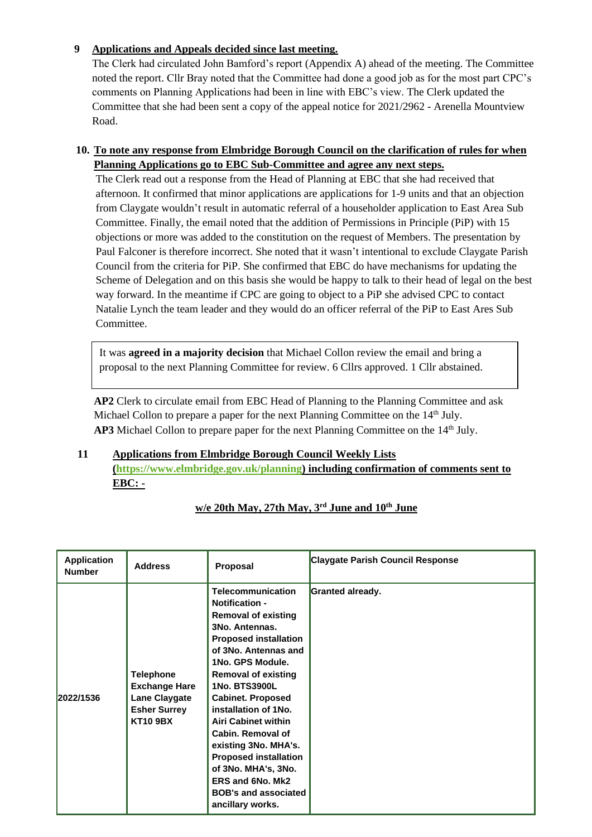## **9 Applications and Appeals decided since last meeting.**

The Clerk had circulated John Bamford's report (Appendix A) ahead of the meeting. The Committee noted the report. Cllr Bray noted that the Committee had done a good job as for the most part CPC's comments on Planning Applications had been in line with EBC's view. The Clerk updated the Committee that she had been sent a copy of the appeal notice for 2021/2962 - Arenella Mountview Road.

# **10. To note any response from Elmbridge Borough Council on the clarification of rules for when Planning Applications go to EBC Sub-Committee and agree any next steps.**

The Clerk read out a response from the Head of Planning at EBC that she had received that afternoon. It confirmed that minor applications are applications for 1-9 units and that an objection from Claygate wouldn't result in automatic referral of a householder application to East Area Sub Committee. Finally, the email noted that the addition of Permissions in Principle (PiP) with 15 objections or more was added to the constitution on the request of Members. The presentation by Paul Falconer is therefore incorrect. She noted that it wasn't intentional to exclude Claygate Parish Council from the criteria for PiP. She confirmed that EBC do have mechanisms for updating the Scheme of Delegation and on this basis she would be happy to talk to their head of legal on the best way forward. In the meantime if CPC are going to object to a PiP she advised CPC to contact Natalie Lynch the team leader and they would do an officer referral of the PiP to East Ares Sub Committee.

It was **agreed in a majority decision** that Michael Collon review the email and bring a proposal to the next Planning Committee for review. 6 Cllrs approved. 1 Cllr abstained.

**AP2** Clerk to circulate email from EBC Head of Planning to the Planning Committee and ask Michael Collon to prepare a paper for the next Planning Committee on the 14<sup>th</sup> July. **AP3** Michael Collon to prepare paper for the next Planning Committee on the 14<sup>th</sup> July.

## **11 Applications from Elmbridge Borough Council Weekly Lists**

**[\(https://www.elmbridge.gov.uk/planning\)](https://www.elmbridge.gov.uk/planning) including confirmation of comments sent to EBC: -**

| <b>Application</b><br><b>Number</b> | <b>Address</b>                                                                                             | Proposal                                                                                                                                                                                                                                                                                                                                                                                                                                                                                  | Claygate Parish Council Response |
|-------------------------------------|------------------------------------------------------------------------------------------------------------|-------------------------------------------------------------------------------------------------------------------------------------------------------------------------------------------------------------------------------------------------------------------------------------------------------------------------------------------------------------------------------------------------------------------------------------------------------------------------------------------|----------------------------------|
| 2022/1536                           | <b>Telephone</b><br><b>Exchange Hare</b><br><b>Lane Claygate</b><br><b>Esher Surrey</b><br><b>KT10 9BX</b> | <b>Telecommunication</b><br><b>Notification -</b><br><b>Removal of existing</b><br>3No. Antennas.<br><b>Proposed installation</b><br>of 3No. Antennas and<br>1No. GPS Module.<br><b>Removal of existing</b><br>1No. BTS3900L<br><b>Cabinet. Proposed</b><br>installation of 1No.<br><b>Airi Cabinet within</b><br>Cabin. Removal of<br>existing 3No. MHA's.<br><b>Proposed installation</b><br>of 3No. MHA's, 3No.<br>ERS and 6No. Mk2<br><b>BOB's and associated</b><br>ancillary works. | Granted already.                 |

# **w/e 20th May, 27th May, 3 rd June and 10th June**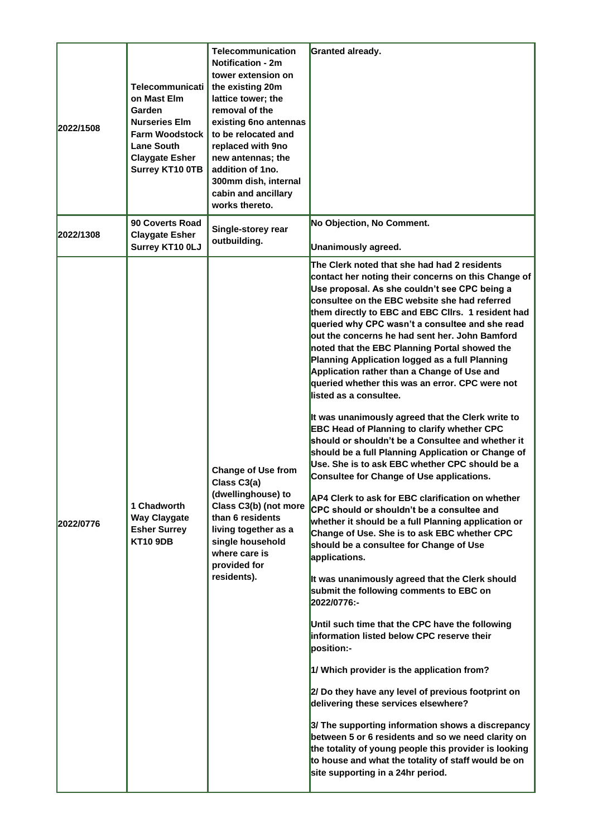| 2022/1508 | <b>Telecommunicati</b><br>on Mast Elm<br>Garden<br><b>Nurseries Elm</b><br><b>Farm Woodstock</b><br><b>Lane South</b><br><b>Claygate Esher</b><br><b>Surrey KT10 OTB</b> | Telecommunication<br><b>Notification - 2m</b><br>tower extension on<br>the existing 20m<br>lattice tower; the<br>removal of the<br>existing 6no antennas<br>to be relocated and<br>replaced with 9no<br>new antennas; the<br>addition of 1no.<br>300mm dish, internal<br>cabin and ancillary<br>works thereto. | Granted already.                                                                                                                                                                                                                                                                                                                                                                                                                                                                                                                                                                                                                                                                                                                                                                                                                                                                                                                                                                                                                                                                                                                                                                                                                                                                                                                                                                                                                                                                                                                                                                                                                                                                                                                                                                                                                   |
|-----------|--------------------------------------------------------------------------------------------------------------------------------------------------------------------------|----------------------------------------------------------------------------------------------------------------------------------------------------------------------------------------------------------------------------------------------------------------------------------------------------------------|------------------------------------------------------------------------------------------------------------------------------------------------------------------------------------------------------------------------------------------------------------------------------------------------------------------------------------------------------------------------------------------------------------------------------------------------------------------------------------------------------------------------------------------------------------------------------------------------------------------------------------------------------------------------------------------------------------------------------------------------------------------------------------------------------------------------------------------------------------------------------------------------------------------------------------------------------------------------------------------------------------------------------------------------------------------------------------------------------------------------------------------------------------------------------------------------------------------------------------------------------------------------------------------------------------------------------------------------------------------------------------------------------------------------------------------------------------------------------------------------------------------------------------------------------------------------------------------------------------------------------------------------------------------------------------------------------------------------------------------------------------------------------------------------------------------------------------|
| 2022/1308 | 90 Coverts Road<br><b>Claygate Esher</b><br>Surrey KT10 0LJ                                                                                                              | Single-storey rear<br>outbuilding.                                                                                                                                                                                                                                                                             | No Objection, No Comment.<br>Unanimously agreed.                                                                                                                                                                                                                                                                                                                                                                                                                                                                                                                                                                                                                                                                                                                                                                                                                                                                                                                                                                                                                                                                                                                                                                                                                                                                                                                                                                                                                                                                                                                                                                                                                                                                                                                                                                                   |
| 2022/0776 | 1 Chadworth<br><b>Way Claygate</b><br><b>Esher Surrey</b><br><b>KT10 9DB</b>                                                                                             | <b>Change of Use from</b><br>Class C3(a)<br>(dwellinghouse) to<br>Class C3(b) (not more<br>than 6 residents<br>living together as a<br>single household<br>where care is<br>provided for<br>residents).                                                                                                        | The Clerk noted that she had had 2 residents<br>contact her noting their concerns on this Change of<br>Use proposal. As she couldn't see CPC being a<br>consultee on the EBC website she had referred<br>them directly to EBC and EBC Cllrs. 1 resident had<br>queried why CPC wasn't a consultee and she read<br>out the concerns he had sent her. John Bamford<br>noted that the EBC Planning Portal showed the<br>Planning Application logged as a full Planning<br>Application rather than a Change of Use and<br>queried whether this was an error. CPC were not<br>listed as a consultee.<br>It was unanimously agreed that the Clerk write to<br><b>EBC Head of Planning to clarify whether CPC</b><br>should or shouldn't be a Consultee and whether it<br>should be a full Planning Application or Change of<br>Use. She is to ask EBC whether CPC should be a<br>Consultee for Change of Use applications.<br>AP4 Clerk to ask for EBC clarification on whether<br>CPC should or shouldn't be a consultee and<br>whether it should be a full Planning application or<br>Change of Use. She is to ask EBC whether CPC<br>should be a consultee for Change of Use<br>applications.<br>It was unanimously agreed that the Clerk should<br>submit the following comments to EBC on<br>2022/0776:-<br>Until such time that the CPC have the following<br>information listed below CPC reserve their<br>bosition:-<br>1/ Which provider is the application from?<br>2/ Do they have any level of previous footprint on<br>delivering these services elsewhere?<br>3/ The supporting information shows a discrepancy<br>between 5 or 6 residents and so we need clarity on<br>the totality of young people this provider is looking<br>to house and what the totality of staff would be on<br>site supporting in a 24hr period. |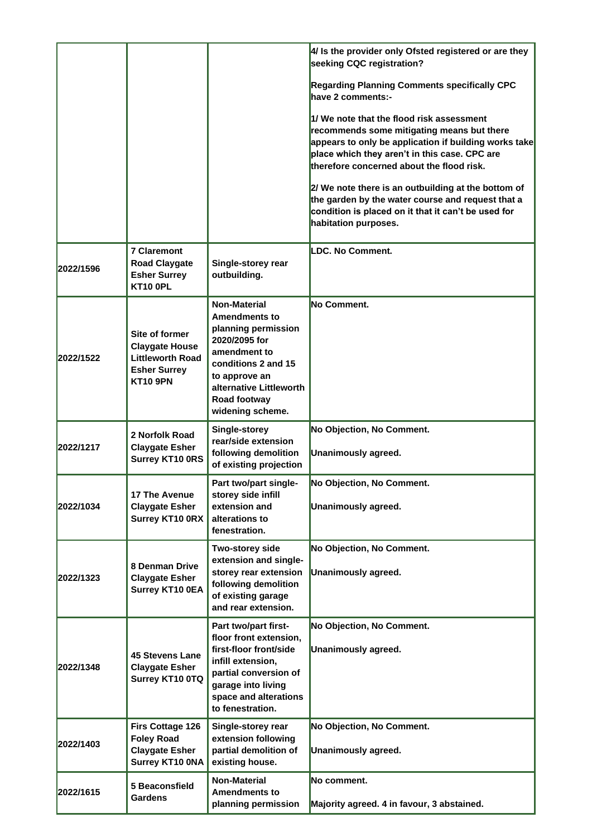|           |                                                                                                              |                                                                                                                                                                                                            | 4/ Is the provider only Ofsted registered or are they<br>seeking CQC registration?                                                                                                                                                             |
|-----------|--------------------------------------------------------------------------------------------------------------|------------------------------------------------------------------------------------------------------------------------------------------------------------------------------------------------------------|------------------------------------------------------------------------------------------------------------------------------------------------------------------------------------------------------------------------------------------------|
|           |                                                                                                              |                                                                                                                                                                                                            | <b>Regarding Planning Comments specifically CPC</b><br>have 2 comments:-                                                                                                                                                                       |
|           |                                                                                                              |                                                                                                                                                                                                            | 1/ We note that the flood risk assessment<br>recommends some mitigating means but there<br>appears to only be application if building works take<br>place which they aren't in this case. CPC are<br>therefore concerned about the flood risk. |
|           |                                                                                                              |                                                                                                                                                                                                            | 2/ We note there is an outbuilding at the bottom of<br>the garden by the water course and request that a<br>condition is placed on it that it can't be used for<br>habitation purposes.                                                        |
| 2022/1596 | <b>7 Claremont</b><br><b>Road Claygate</b><br><b>Esher Surrey</b><br><b>KT10 OPL</b>                         | Single-storey rear<br>outbuilding.                                                                                                                                                                         | LDC. No Comment.                                                                                                                                                                                                                               |
| 2022/1522 | Site of former<br><b>Claygate House</b><br><b>Littleworth Road</b><br><b>Esher Surrey</b><br><b>KT10 9PN</b> | <b>Non-Material</b><br><b>Amendments to</b><br>planning permission<br>2020/2095 for<br>amendment to<br>conditions 2 and 15<br>to approve an<br>alternative Littleworth<br>Road footway<br>widening scheme. | <b>No Comment.</b>                                                                                                                                                                                                                             |
| 2022/1217 | 2 Norfolk Road<br><b>Claygate Esher</b><br><b>Surrey KT10 ORS</b>                                            | Single-storey<br>rear/side extension<br>following demolition<br>of existing projection                                                                                                                     | No Objection, No Comment.<br>Unanimously agreed.                                                                                                                                                                                               |
| 2022/1034 | <b>17 The Avenue</b><br><b>Claygate Esher</b><br><b>Surrey KT10 ORX</b>                                      | Part two/part single-<br>storey side infill<br>extension and<br>alterations to<br>fenestration.                                                                                                            | No Objection, No Comment.<br>Unanimously agreed.                                                                                                                                                                                               |
| 2022/1323 | <b>8 Denman Drive</b><br><b>Claygate Esher</b><br>Surrey KT10 0EA                                            | Two-storey side<br>extension and single-<br>storey rear extension<br>following demolition<br>of existing garage<br>and rear extension.                                                                     | No Objection, No Comment.<br>Unanimously agreed.                                                                                                                                                                                               |
| 2022/1348 | <b>45 Stevens Lane</b><br><b>Claygate Esher</b><br>Surrey KT10 0TQ                                           | Part two/part first-<br>floor front extension,<br>first-floor front/side<br>infill extension,<br>partial conversion of<br>garage into living<br>space and alterations<br>to fenestration.                  | No Objection, No Comment.<br>Unanimously agreed.                                                                                                                                                                                               |
| 2022/1403 | Firs Cottage 126<br><b>Foley Road</b><br><b>Claygate Esher</b><br>Surrey KT10 0NA                            | Single-storey rear<br>extension following<br>partial demolition of<br>existing house.                                                                                                                      | No Objection, No Comment.<br>Unanimously agreed.                                                                                                                                                                                               |
| 2022/1615 | 5 Beaconsfield<br><b>Gardens</b>                                                                             | <b>Non-Material</b><br><b>Amendments to</b><br>planning permission                                                                                                                                         | No comment.<br>Majority agreed. 4 in favour, 3 abstained.                                                                                                                                                                                      |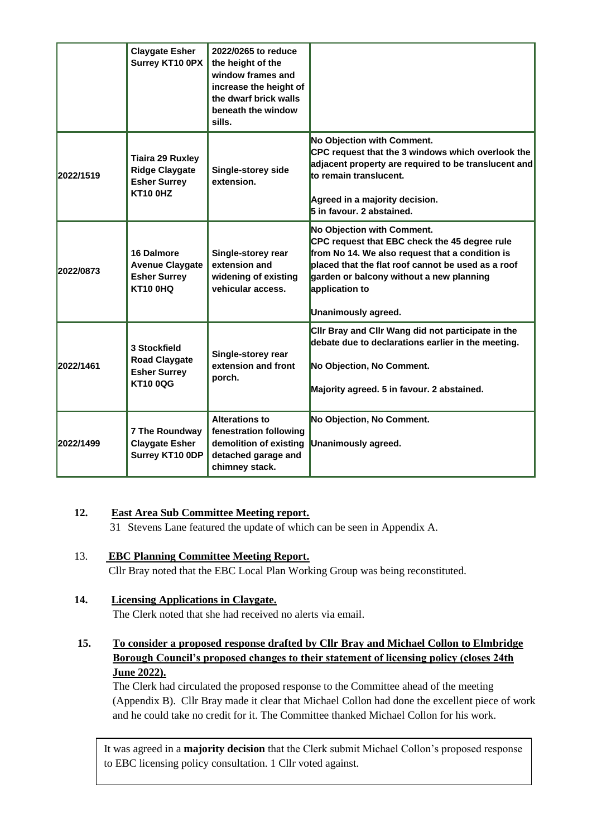|           | <b>Claygate Esher</b><br>Surrey KT10 0PX                                                   | 2022/0265 to reduce<br>the height of the<br>window frames and<br>increase the height of<br>the dwarf brick walls<br>beneath the window<br>sills. |                                                                                                                                                                                                                                                                           |
|-----------|--------------------------------------------------------------------------------------------|--------------------------------------------------------------------------------------------------------------------------------------------------|---------------------------------------------------------------------------------------------------------------------------------------------------------------------------------------------------------------------------------------------------------------------------|
| 2022/1519 | <b>Tiaira 29 Ruxley</b><br><b>Ridge Claygate</b><br><b>Esher Surrey</b><br><b>KT10 0HZ</b> | Single-storey side<br>extension.                                                                                                                 | No Objection with Comment.<br>CPC request that the 3 windows which overlook the<br>adjacent property are required to be translucent and<br>to remain translucent.<br>Agreed in a majority decision.<br>5 in favour. 2 abstained.                                          |
| 2022/0873 | 16 Dalmore<br><b>Avenue Claygate</b><br><b>Esher Surrey</b><br><b>KT10 0HQ</b>             | Single-storey rear<br>extension and<br>widening of existing<br>vehicular access.                                                                 | No Objection with Comment.<br>CPC request that EBC check the 45 degree rule<br>from No 14. We also request that a condition is<br>placed that the flat roof cannot be used as a roof<br>garden or balcony without a new planning<br>application to<br>Unanimously agreed. |
| 2022/1461 | 3 Stockfield<br><b>Road Claygate</b><br><b>Esher Surrey</b><br><b>KT10 0QG</b>             | Single-storey rear<br>extension and front<br>porch.                                                                                              | CIIr Bray and CIIr Wang did not participate in the<br>debate due to declarations earlier in the meeting.<br>No Objection, No Comment.<br>Majority agreed. 5 in favour. 2 abstained.                                                                                       |
| 2022/1499 | <b>7 The Roundway</b><br><b>Claygate Esher</b><br>Surrey KT10 0DP                          | <b>Alterations to</b><br>fenestration following<br>demolition of existing<br>detached garage and<br>chimney stack.                               | No Objection, No Comment.<br>Unanimously agreed.                                                                                                                                                                                                                          |

### **12. East Area Sub Committee Meeting report.**

31 Stevens Lane featured the update of which can be seen in Appendix A.

# 13. **EBC Planning Committee Meeting Report.**

Cllr Bray noted that the EBC Local Plan Working Group was being reconstituted.

# **14. Licensing Applications in Claygate.**

The Clerk noted that she had received no alerts via email.

# **15. To consider a proposed response drafted by Cllr Bray and Michael Collon to Elmbridge Borough Council's proposed changes to their statement of licensing policy (closes 24th June 2022).**

The Clerk had circulated the proposed response to the Committee ahead of the meeting (Appendix B). Cllr Bray made it clear that Michael Collon had done the excellent piece of work and he could take no credit for it. The Committee thanked Michael Collon for his work.

It was agreed in a **majority decision** that the Clerk submit Michael Collon's proposed response to EBC licensing policy consultation. 1 Cllr voted against.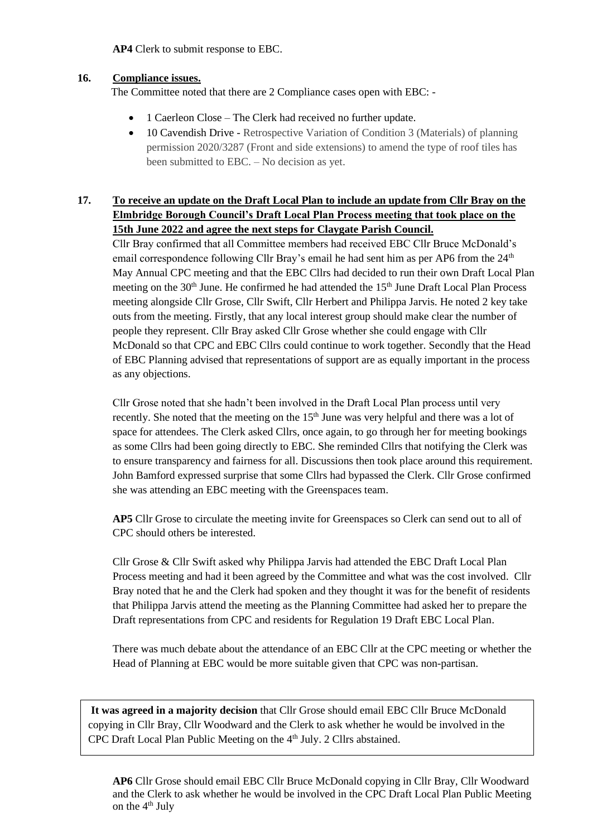**AP4** Clerk to submit response to EBC.

### **16. Compliance issues.**

The Committee noted that there are 2 Compliance cases open with EBC: -

- 1 Caerleon Close The Clerk had received no further update.
- 10 Cavendish Drive Retrospective Variation of Condition 3 (Materials) of planning permission 2020/3287 (Front and side extensions) to amend the type of roof tiles has been submitted to EBC. – No decision as yet.

## **17. To receive an update on the Draft Local Plan to include an update from Cllr Bray on the Elmbridge Borough Council's Draft Local Plan Process meeting that took place on the 15th June 2022 and agree the next steps for Claygate Parish Council.**

Cllr Bray confirmed that all Committee members had received EBC Cllr Bruce McDonald's email correspondence following Cllr Bray's email he had sent him as per AP6 from the  $24<sup>th</sup>$ May Annual CPC meeting and that the EBC Cllrs had decided to run their own Draft Local Plan meeting on the  $30<sup>th</sup>$  June. He confirmed he had attended the  $15<sup>th</sup>$  June Draft Local Plan Process meeting alongside Cllr Grose, Cllr Swift, Cllr Herbert and Philippa Jarvis. He noted 2 key take outs from the meeting. Firstly, that any local interest group should make clear the number of people they represent. Cllr Bray asked Cllr Grose whether she could engage with Cllr McDonald so that CPC and EBC Cllrs could continue to work together. Secondly that the Head of EBC Planning advised that representations of support are as equally important in the process as any objections.

Cllr Grose noted that she hadn't been involved in the Draft Local Plan process until very recently. She noted that the meeting on the 15<sup>th</sup> June was very helpful and there was a lot of space for attendees. The Clerk asked Cllrs, once again, to go through her for meeting bookings as some Cllrs had been going directly to EBC. She reminded Cllrs that notifying the Clerk was to ensure transparency and fairness for all. Discussions then took place around this requirement. John Bamford expressed surprise that some Cllrs had bypassed the Clerk. Cllr Grose confirmed she was attending an EBC meeting with the Greenspaces team.

**AP5** Cllr Grose to circulate the meeting invite for Greenspaces so Clerk can send out to all of CPC should others be interested.

Cllr Grose & Cllr Swift asked why Philippa Jarvis had attended the EBC Draft Local Plan Process meeting and had it been agreed by the Committee and what was the cost involved. Cllr Bray noted that he and the Clerk had spoken and they thought it was for the benefit of residents that Philippa Jarvis attend the meeting as the Planning Committee had asked her to prepare the Draft representations from CPC and residents for Regulation 19 Draft EBC Local Plan.

There was much debate about the attendance of an EBC Cllr at the CPC meeting or whether the Head of Planning at EBC would be more suitable given that CPC was non-partisan.

It was agreed in a majority decision that Cllr Grose should email EBC Cllr Bruce McDonald copying in Cllr Bray, Cllr Woodward and the Clerk to ask whether he would be involved in the CPC Draft Local Plan Public Meeting on the 4<sup>th</sup> July. 2 Cllrs abstained.

**AP6** Cllr Grose should email EBC Cllr Bruce McDonald copying in Cllr Bray, Cllr Woodward and the Clerk to ask whether he would be involved in the CPC Draft Local Plan Public Meeting on the  $4<sup>th</sup>$  July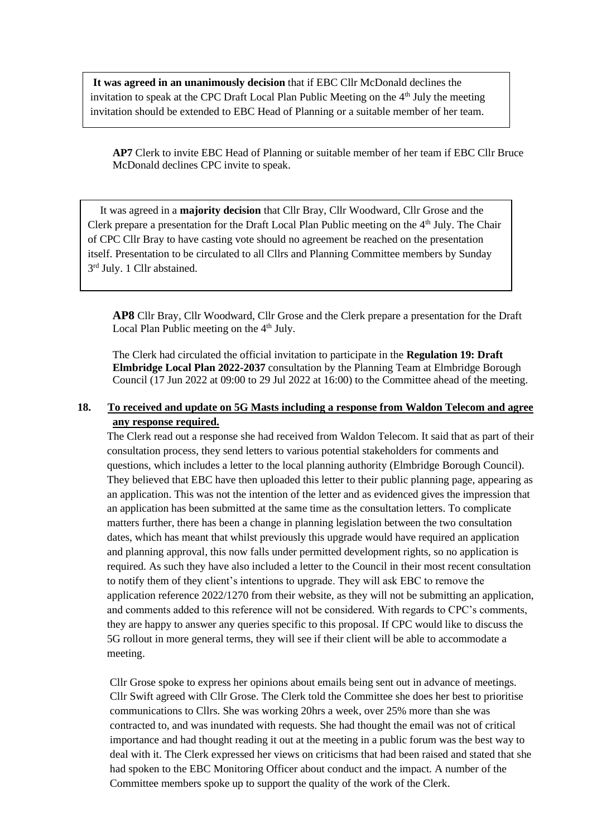It was agreed in an unanimously decision that if EBC Cllr McDonald declines the invitation to speak at the CPC Draft Local Plan Public Meeting on the  $4<sup>th</sup>$  July the meeting invitation should be extended to EBC Head of Planning or a suitable member of her team.

**AP7** Clerk to invite EBC Head of Planning or suitable member of her team if EBC Cllr Bruce McDonald declines CPC invite to speak.

It was agreed in a **majority decision** that Cllr Bray, Cllr Woodward, Cllr Grose and the Clerk prepare a presentation for the Draft Local Plan Public meeting on the 4<sup>th</sup> July. The Chair of CPC Cllr Bray to have casting vote should no agreement be reached on the presentation itself. Presentation to be circulated to all Cllrs and Planning Committee members by Sunday 3<sup>rd</sup> July. 1 Cllr abstained.

**AP8** Cllr Bray, Cllr Woodward, Cllr Grose and the Clerk prepare a presentation for the Draft Local Plan Public meeting on the  $4<sup>th</sup>$  July.

The Clerk had circulated the official invitation to participate in the **Regulation 19: Draft Elmbridge Local Plan 2022-2037** consultation by the Planning Team at Elmbridge Borough Council (17 Jun 2022 at 09:00 to 29 Jul 2022 at 16:00) to the Committee ahead of the meeting.

### **18. To received and update on 5G Masts including a response from Waldon Telecom and agree any response required.**

The Clerk read out a response she had received from Waldon Telecom. It said that as part of their consultation process, they send letters to various potential stakeholders for comments and questions, which includes a letter to the local planning authority (Elmbridge Borough Council). They believed that EBC have then uploaded this letter to their public planning page, appearing as an application. This was not the intention of the letter and as evidenced gives the impression that an application has been submitted at the same time as the consultation letters. To complicate matters further, there has been a change in planning legislation between the two consultation dates, which has meant that whilst previously this upgrade would have required an application and planning approval, this now falls under permitted development rights, so no application is required. As such they have also included a letter to the Council in their most recent consultation to notify them of they client's intentions to upgrade. They will ask EBC to remove the application reference 2022/1270 from their website, as they will not be submitting an application, and comments added to this reference will not be considered. With regards to CPC's comments, they are happy to answer any queries specific to this proposal. If CPC would like to discuss the 5G rollout in more general terms, they will see if their client will be able to accommodate a meeting.

Cllr Grose spoke to express her opinions about emails being sent out in advance of meetings. Cllr Swift agreed with Cllr Grose. The Clerk told the Committee she does her best to prioritise communications to Cllrs. She was working 20hrs a week, over 25% more than she was contracted to, and was inundated with requests. She had thought the email was not of critical importance and had thought reading it out at the meeting in a public forum was the best way to deal with it. The Clerk expressed her views on criticisms that had been raised and stated that she had spoken to the EBC Monitoring Officer about conduct and the impact. A number of the Committee members spoke up to support the quality of the work of the Clerk.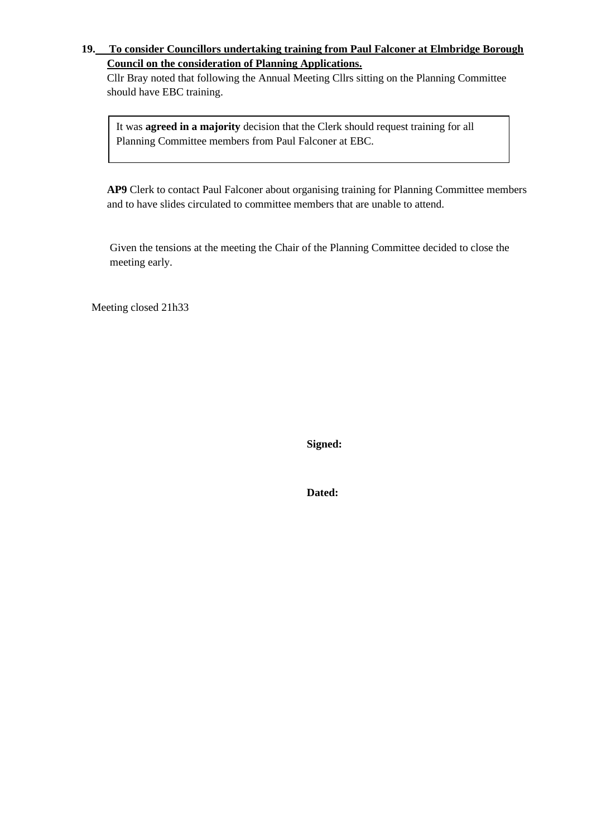## **19. To consider Councillors undertaking training from Paul Falconer at Elmbridge Borough Council on the consideration of Planning Applications.**

Cllr Bray noted that following the Annual Meeting Cllrs sitting on the Planning Committee should have EBC training.

It was **agreed in a majority** decision that the Clerk should request training for all Planning Committee members from Paul Falconer at EBC.

**AP9** Clerk to contact Paul Falconer about organising training for Planning Committee members and to have slides circulated to committee members that are unable to attend.

Given the tensions at the meeting the Chair of the Planning Committee decided to close the meeting early.

Meeting closed 21h33

**Signed:**

**Dated:**